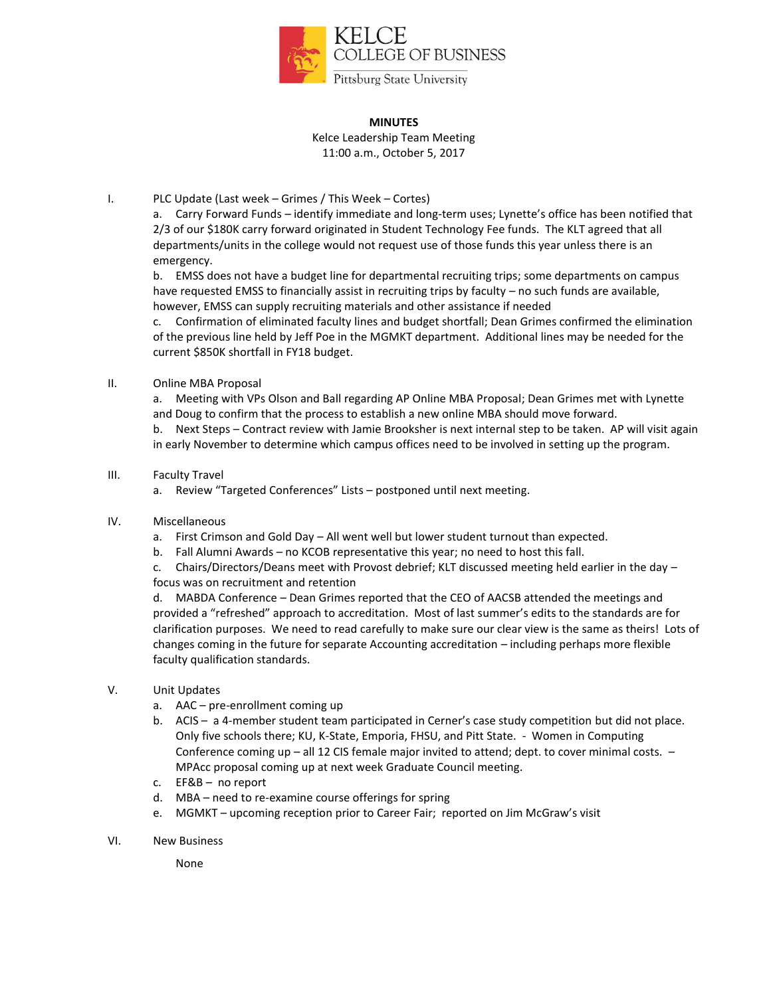

#### **MINUTES**

Kelce Leadership Team Meeting 11:00 a.m., October 5, 2017

## I. PLC Update (Last week – Grimes / This Week – Cortes)

a. Carry Forward Funds – identify immediate and long-term uses; Lynette's office has been notified that 2/3 of our \$180K carry forward originated in Student Technology Fee funds. The KLT agreed that all departments/units in the college would not request use of those funds this year unless there is an emergency.

b. EMSS does not have a budget line for departmental recruiting trips; some departments on campus have requested EMSS to financially assist in recruiting trips by faculty – no such funds are available, however, EMSS can supply recruiting materials and other assistance if needed

c. Confirmation of eliminated faculty lines and budget shortfall; Dean Grimes confirmed the elimination of the previous line held by Jeff Poe in the MGMKT department. Additional lines may be needed for the current \$850K shortfall in FY18 budget.

## II. Online MBA Proposal

a. Meeting with VPs Olson and Ball regarding AP Online MBA Proposal; Dean Grimes met with Lynette and Doug to confirm that the process to establish a new online MBA should move forward.

b. Next Steps – Contract review with Jamie Brooksher is next internal step to be taken. AP will visit again in early November to determine which campus offices need to be involved in setting up the program.

## III. Faculty Travel

a. Review "Targeted Conferences" Lists – postponed until next meeting.

#### IV. Miscellaneous

a. First Crimson and Gold Day – All went well but lower student turnout than expected.

- b. Fall Alumni Awards no KCOB representative this year; no need to host this fall.
- c. Chairs/Directors/Deans meet with Provost debrief; KLT discussed meeting held earlier in the day focus was on recruitment and retention

d. MABDA Conference – Dean Grimes reported that the CEO of AACSB attended the meetings and provided a "refreshed" approach to accreditation. Most of last summer's edits to the standards are for clarification purposes. We need to read carefully to make sure our clear view is the same as theirs! Lots of changes coming in the future for separate Accounting accreditation – including perhaps more flexible faculty qualification standards.

## V. Unit Updates

- a. AAC pre-enrollment coming up
- b. ACIS a 4-member student team participated in Cerner's case study competition but did not place. Only five schools there; KU, K-State, Emporia, FHSU, and Pitt State. - Women in Computing Conference coming up – all 12 CIS female major invited to attend; dept. to cover minimal costs. – MPAcc proposal coming up at next week Graduate Council meeting.
- c. EF&B no report
- d. MBA need to re-examine course offerings for spring
- e. MGMKT upcoming reception prior to Career Fair; reported on Jim McGraw's visit
- VI. New Business

None